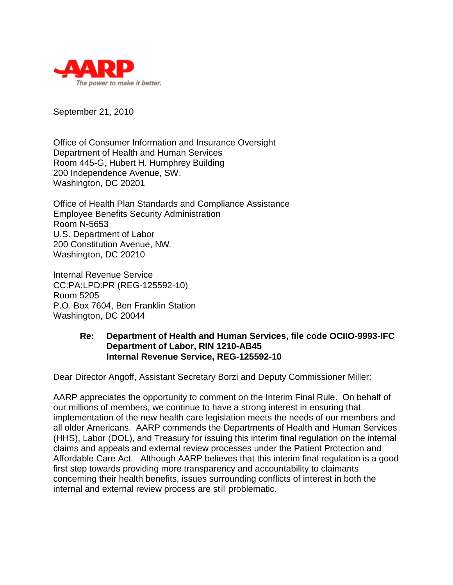

September 21, 2010

Office of Consumer Information and Insurance Oversight Department of Health and Human Services Room 445-G, Hubert H. Humphrey Building 200 Independence Avenue, SW. Washington, DC 20201

Office of Health Plan Standards and Compliance Assistance Employee Benefits Security Administration Room N-5653 U.S. Department of Labor 200 Constitution Avenue, NW. Washington, DC 20210

Internal Revenue Service CC:PA:LPD:PR (REG-125592-10) Room 5205 P.O. Box 7604, Ben Franklin Station Washington, DC 20044

## **Re: Department of Health and Human Services, file code OCIIO-9993-IFC Department of Labor, RIN 1210-AB45 Internal Revenue Service, REG-125592-10**

Dear Director Angoff, Assistant Secretary Borzi and Deputy Commissioner Miller:

AARP appreciates the opportunity to comment on the Interim Final Rule. On behalf of our millions of members, we continue to have a strong interest in ensuring that implementation of the new health care legislation meets the needs of our members and all older Americans. AARP commends the Departments of Health and Human Services (HHS), Labor (DOL), and Treasury for issuing this interim final regulation on the internal claims and appeals and external review processes under the Patient Protection and Affordable Care Act. Although AARP believes that this interim final regulation is a good first step towards providing more transparency and accountability to claimants concerning their health benefits, issues surrounding conflicts of interest in both the internal and external review process are still problematic.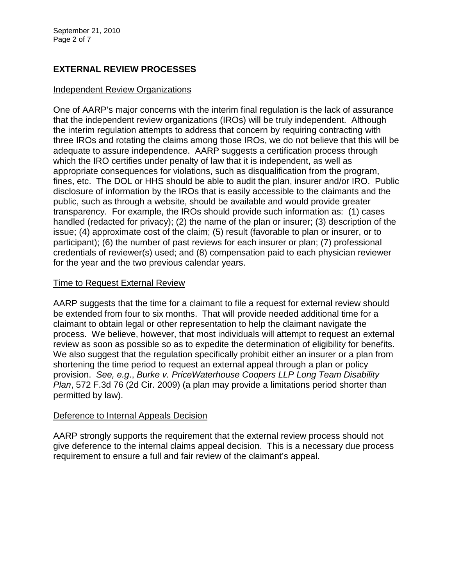# **EXTERNAL REVIEW PROCESSES**

### Independent Review Organizations

One of AARP's major concerns with the interim final regulation is the lack of assurance that the independent review organizations (IROs) will be truly independent. Although the interim regulation attempts to address that concern by requiring contracting with three IROs and rotating the claims among those IROs, we do not believe that this will be adequate to assure independence. AARP suggests a certification process through which the IRO certifies under penalty of law that it is independent, as well as appropriate consequences for violations, such as disqualification from the program, fines, etc. The DOL or HHS should be able to audit the plan, insurer and/or IRO. Public disclosure of information by the IROs that is easily accessible to the claimants and the public, such as through a website, should be available and would provide greater transparency. For example, the IROs should provide such information as: (1) cases handled (redacted for privacy); (2) the name of the plan or insurer; (3) description of the issue; (4) approximate cost of the claim; (5) result (favorable to plan or insurer, or to participant); (6) the number of past reviews for each insurer or plan; (7) professional credentials of reviewer(s) used; and (8) compensation paid to each physician reviewer for the year and the two previous calendar years.

## Time to Request External Review

AARP suggests that the time for a claimant to file a request for external review should be extended from four to six months. That will provide needed additional time for a claimant to obtain legal or other representation to help the claimant navigate the process. We believe, however, that most individuals will attempt to request an external review as soon as possible so as to expedite the determination of eligibility for benefits. We also suggest that the regulation specifically prohibit either an insurer or a plan from shortening the time period to request an external appeal through a plan or policy provision. *See, e.g*., *Burke v. PriceWaterhouse Coopers LLP Long Team Disability Plan*, 572 F.3d 76 (2d Cir. 2009) (a plan may provide a limitations period shorter than permitted by law).

## Deference to Internal Appeals Decision

AARP strongly supports the requirement that the external review process should not give deference to the internal claims appeal decision. This is a necessary due process requirement to ensure a full and fair review of the claimant's appeal.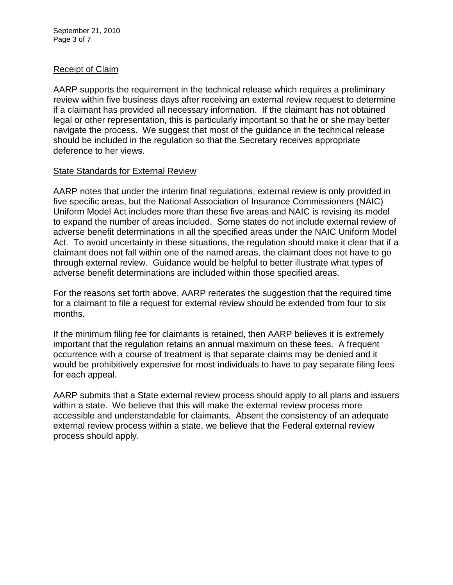September 21, 2010 Page 3 of 7

## Receipt of Claim

AARP supports the requirement in the technical release which requires a preliminary review within five business days after receiving an external review request to determine if a claimant has provided all necessary information. If the claimant has not obtained legal or other representation, this is particularly important so that he or she may better navigate the process. We suggest that most of the guidance in the technical release should be included in the regulation so that the Secretary receives appropriate deference to her views.

## State Standards for External Review

AARP notes that under the interim final regulations, external review is only provided in five specific areas, but the National Association of Insurance Commissioners (NAIC) Uniform Model Act includes more than these five areas and NAIC is revising its model to expand the number of areas included. Some states do not include external review of adverse benefit determinations in all the specified areas under the NAIC Uniform Model Act. To avoid uncertainty in these situations, the regulation should make it clear that if a claimant does not fall within one of the named areas, the claimant does not have to go through external review. Guidance would be helpful to better illustrate what types of adverse benefit determinations are included within those specified areas.

For the reasons set forth above, AARP reiterates the suggestion that the required time for a claimant to file a request for external review should be extended from four to six months.

If the minimum filing fee for claimants is retained, then AARP believes it is extremely important that the regulation retains an annual maximum on these fees. A frequent occurrence with a course of treatment is that separate claims may be denied and it would be prohibitively expensive for most individuals to have to pay separate filing fees for each appeal.

AARP submits that a State external review process should apply to all plans and issuers within a state. We believe that this will make the external review process more accessible and understandable for claimants. Absent the consistency of an adequate external review process within a state, we believe that the Federal external review process should apply.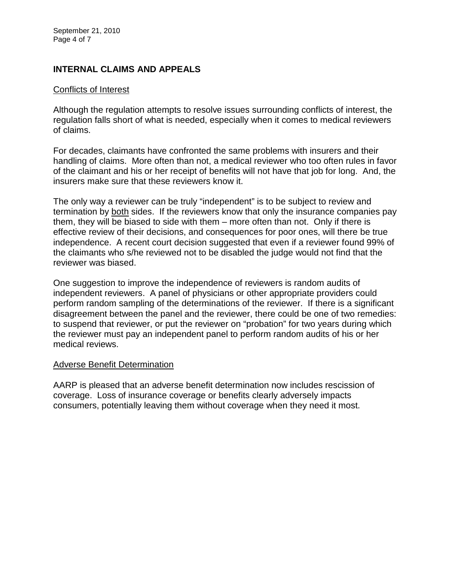# **INTERNAL CLAIMS AND APPEALS**

#### Conflicts of Interest

Although the regulation attempts to resolve issues surrounding conflicts of interest, the regulation falls short of what is needed, especially when it comes to medical reviewers of claims.

For decades, claimants have confronted the same problems with insurers and their handling of claims. More often than not, a medical reviewer who too often rules in favor of the claimant and his or her receipt of benefits will not have that job for long. And, the insurers make sure that these reviewers know it.

The only way a reviewer can be truly "independent" is to be subject to review and termination by both sides. If the reviewers know that only the insurance companies pay them, they will be biased to side with them – more often than not. Only if there is effective review of their decisions, and consequences for poor ones, will there be true independence. A recent court decision suggested that even if a reviewer found 99% of the claimants who s/he reviewed not to be disabled the judge would not find that the reviewer was biased.

One suggestion to improve the independence of reviewers is random audits of independent reviewers. A panel of physicians or other appropriate providers could perform random sampling of the determinations of the reviewer. If there is a significant disagreement between the panel and the reviewer, there could be one of two remedies: to suspend that reviewer, or put the reviewer on "probation" for two years during which the reviewer must pay an independent panel to perform random audits of his or her medical reviews.

#### Adverse Benefit Determination

AARP is pleased that an adverse benefit determination now includes rescission of coverage. Loss of insurance coverage or benefits clearly adversely impacts consumers, potentially leaving them without coverage when they need it most.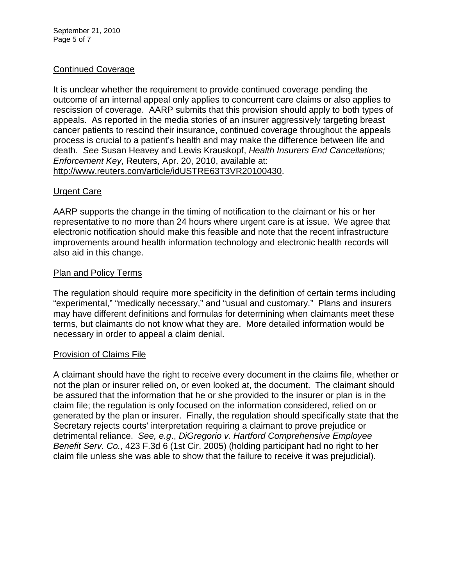# Continued Coverage

It is unclear whether the requirement to provide continued coverage pending the outcome of an internal appeal only applies to concurrent care claims or also applies to rescission of coverage. AARP submits that this provision should apply to both types of appeals. As reported in the media stories of an insurer aggressively targeting breast cancer patients to rescind their insurance, continued coverage throughout the appeals process is crucial to a patient's health and may make the difference between life and death. *See* Susan Heavey and Lewis Krauskopf, *Health Insurers End Cancellations; Enforcement Key*, Reuters, Apr. 20, 2010, available at: [http://www.reuters.com/article/idUSTRE63T3VR20100430.](http://www.reuters.com/article/idUSTRE63T3VR20100430)

## Urgent Care

AARP supports the change in the timing of notification to the claimant or his or her representative to no more than 24 hours where urgent care is at issue. We agree that electronic notification should make this feasible and note that the recent infrastructure improvements around health information technology and electronic health records will also aid in this change.

### Plan and Policy Terms

The regulation should require more specificity in the definition of certain terms including "experimental," "medically necessary," and "usual and customary." Plans and insurers may have different definitions and formulas for determining when claimants meet these terms, but claimants do not know what they are. More detailed information would be necessary in order to appeal a claim denial.

#### Provision of Claims File

A claimant should have the right to receive every document in the claims file, whether or not the plan or insurer relied on, or even looked at, the document. The claimant should be assured that the information that he or she provided to the insurer or plan is in the claim file; the regulation is only focused on the information considered, relied on or generated by the plan or insurer. Finally, the regulation should specifically state that the Secretary rejects courts' interpretation requiring a claimant to prove prejudice or detrimental reliance. *See, e.g*., *DiGregorio v. Hartford Comprehensive Employee Benefit Serv. Co.*, 423 F.3d 6 (1st Cir. 2005) (holding participant had no right to her claim file unless she was able to show that the failure to receive it was prejudicial).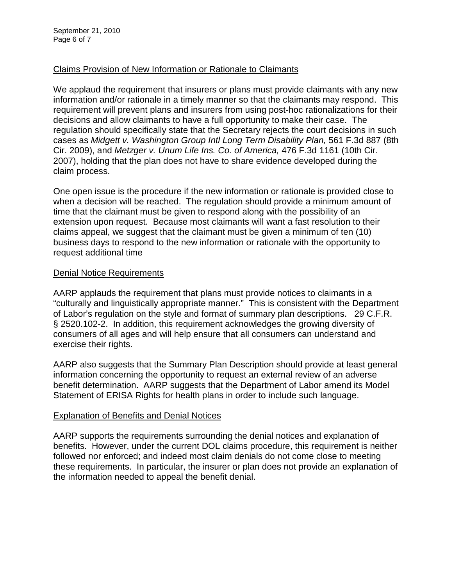# Claims Provision of New Information or Rationale to Claimants

We applaud the requirement that insurers or plans must provide claimants with any new information and/or rationale in a timely manner so that the claimants may respond. This requirement will prevent plans and insurers from using post-hoc rationalizations for their decisions and allow claimants to have a full opportunity to make their case. The regulation should specifically state that the Secretary rejects the court decisions in such cases as *Midgett v. Washington Group Intl Long Term Disability Plan,* 561 F.3d 887 (8th Cir. 2009), and *Metzger v. Unum Life Ins. Co. of America,* 476 F.3d 1161 (10th Cir. 2007), holding that the plan does not have to share evidence developed during the claim process.

One open issue is the procedure if the new information or rationale is provided close to when a decision will be reached. The regulation should provide a minimum amount of time that the claimant must be given to respond along with the possibility of an extension upon request. Because most claimants will want a fast resolution to their claims appeal, we suggest that the claimant must be given a minimum of ten (10) business days to respond to the new information or rationale with the opportunity to request additional time

## Denial Notice Requirements

AARP applauds the requirement that plans must provide notices to claimants in a "culturally and linguistically appropriate manner." This is consistent with the Department of Labor's regulation on the style and format of summary plan descriptions. 29 C.F.R. § 2520.102-2. In addition, this requirement acknowledges the growing diversity of consumers of all ages and will help ensure that all consumers can understand and exercise their rights.

AARP also suggests that the Summary Plan Description should provide at least general information concerning the opportunity to request an external review of an adverse benefit determination. AARP suggests that the Department of Labor amend its Model Statement of ERISA Rights for health plans in order to include such language.

## Explanation of Benefits and Denial Notices

AARP supports the requirements surrounding the denial notices and explanation of benefits. However, under the current DOL claims procedure, this requirement is neither followed nor enforced; and indeed most claim denials do not come close to meeting these requirements. In particular, the insurer or plan does not provide an explanation of the information needed to appeal the benefit denial.